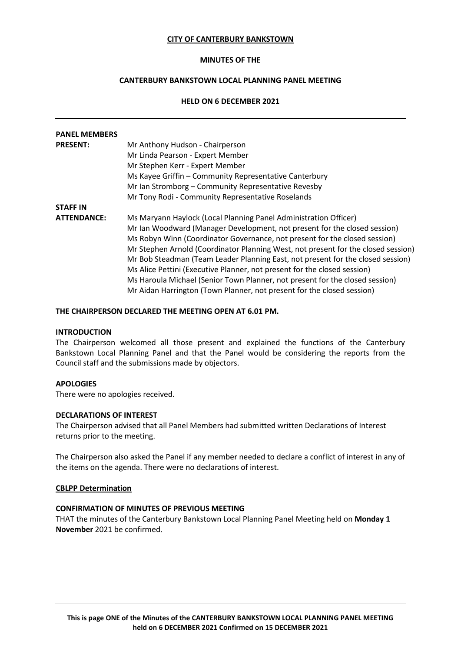### **CITY OF CANTERBURY BANKSTOWN**

### **MINUTES OF THE**

# **CANTERBURY BANKSTOWN LOCAL PLANNING PANEL MEETING**

## **HELD ON 6 DECEMBER 2021**

| <b>PANEL MEMBERS</b> |                                                                                   |
|----------------------|-----------------------------------------------------------------------------------|
| <b>PRESENT:</b>      | Mr Anthony Hudson - Chairperson                                                   |
|                      | Mr Linda Pearson - Expert Member                                                  |
|                      | Mr Stephen Kerr - Expert Member                                                   |
|                      | Ms Kayee Griffin - Community Representative Canterbury                            |
|                      | Mr Ian Stromborg - Community Representative Revesby                               |
|                      | Mr Tony Rodi - Community Representative Roselands                                 |
| <b>STAFF IN</b>      |                                                                                   |
| <b>ATTENDANCE:</b>   | Ms Maryann Haylock (Local Planning Panel Administration Officer)                  |
|                      | Mr Ian Woodward (Manager Development, not present for the closed session)         |
|                      | Ms Robyn Winn (Coordinator Governance, not present for the closed session)        |
|                      | Mr Stephen Arnold (Coordinator Planning West, not present for the closed session) |
|                      | Mr Bob Steadman (Team Leader Planning East, not present for the closed session)   |
|                      | Ms Alice Pettini (Executive Planner, not present for the closed session)          |
|                      | Ms Haroula Michael (Senior Town Planner, not present for the closed session)      |
|                      | Mr Aidan Harrington (Town Planner, not present for the closed session)            |

#### **THE CHAIRPERSON DECLARED THE MEETING OPEN AT 6.01 PM.**

#### **INTRODUCTION**

The Chairperson welcomed all those present and explained the functions of the Canterbury Bankstown Local Planning Panel and that the Panel would be considering the reports from the Council staff and the submissions made by objectors.

### **APOLOGIES**

There were no apologies received.

### **DECLARATIONS OF INTEREST**

The Chairperson advised that all Panel Members had submitted written Declarations of Interest returns prior to the meeting.

The Chairperson also asked the Panel if any member needed to declare a conflict of interest in any of the items on the agenda. There were no declarations of interest.

#### **CBLPP Determination**

### **CONFIRMATION OF MINUTES OF PREVIOUS MEETING**

THAT the minutes of the Canterbury Bankstown Local Planning Panel Meeting held on **Monday 1 November** 2021 be confirmed.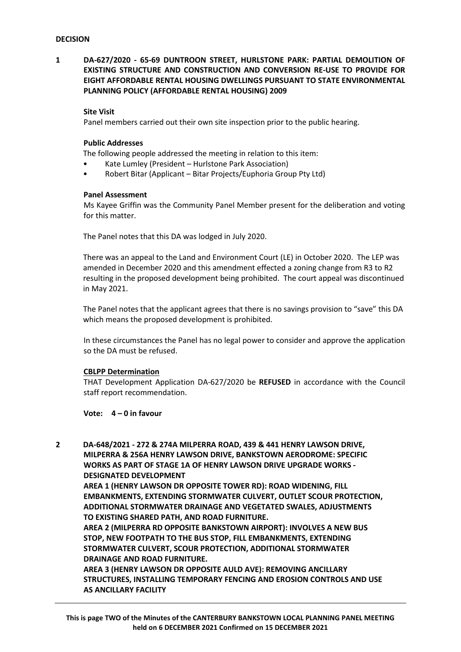**1 DA-627/2020 - 65-69 DUNTROON STREET, HURLSTONE PARK: PARTIAL DEMOLITION OF EXISTING STRUCTURE AND CONSTRUCTION AND CONVERSION RE-USE TO PROVIDE FOR EIGHT AFFORDABLE RENTAL HOUSING DWELLINGS PURSUANT TO STATE ENVIRONMENTAL PLANNING POLICY (AFFORDABLE RENTAL HOUSING) 2009**

### **Site Visit**

Panel members carried out their own site inspection prior to the public hearing.

### **Public Addresses**

The following people addressed the meeting in relation to this item:

- Kate Lumley (President Hurlstone Park Association)
- Robert Bitar (Applicant Bitar Projects/Euphoria Group Pty Ltd)

### **Panel Assessment**

Ms Kayee Griffin was the Community Panel Member present for the deliberation and voting for this matter.

The Panel notes that this DA was lodged in July 2020.

There was an appeal to the Land and Environment Court (LE) in October 2020. The LEP was amended in December 2020 and this amendment effected a zoning change from R3 to R2 resulting in the proposed development being prohibited. The court appeal was discontinued in May 2021.

The Panel notes that the applicant agrees that there is no savings provision to "save" this DA which means the proposed development is prohibited.

In these circumstances the Panel has no legal power to consider and approve the application so the DA must be refused.

### **CBLPP Determination**

THAT Development Application DA-627/2020 be **REFUSED** in accordance with the Council staff report recommendation.

**Vote: 4 – 0 in favour**

**2 DA-648/2021 - 272 & 274A MILPERRA ROAD, 439 & 441 HENRY LAWSON DRIVE, MILPERRA & 256A HENRY LAWSON DRIVE, BANKSTOWN AERODROME: SPECIFIC WORKS AS PART OF STAGE 1A OF HENRY LAWSON DRIVE UPGRADE WORKS - DESIGNATED DEVELOPMENT**

**AREA 1 (HENRY LAWSON DR OPPOSITE TOWER RD): ROAD WIDENING, FILL EMBANKMENTS, EXTENDING STORMWATER CULVERT, OUTLET SCOUR PROTECTION, ADDITIONAL STORMWATER DRAINAGE AND VEGETATED SWALES, ADJUSTMENTS TO EXISTING SHARED PATH, AND ROAD FURNITURE.**

**AREA 2 (MILPERRA RD OPPOSITE BANKSTOWN AIRPORT): INVOLVES A NEW BUS STOP, NEW FOOTPATH TO THE BUS STOP, FILL EMBANKMENTS, EXTENDING STORMWATER CULVERT, SCOUR PROTECTION, ADDITIONAL STORMWATER DRAINAGE AND ROAD FURNITURE.**

**AREA 3 (HENRY LAWSON DR OPPOSITE AULD AVE): REMOVING ANCILLARY STRUCTURES, INSTALLING TEMPORARY FENCING AND EROSION CONTROLS AND USE AS ANCILLARY FACILITY**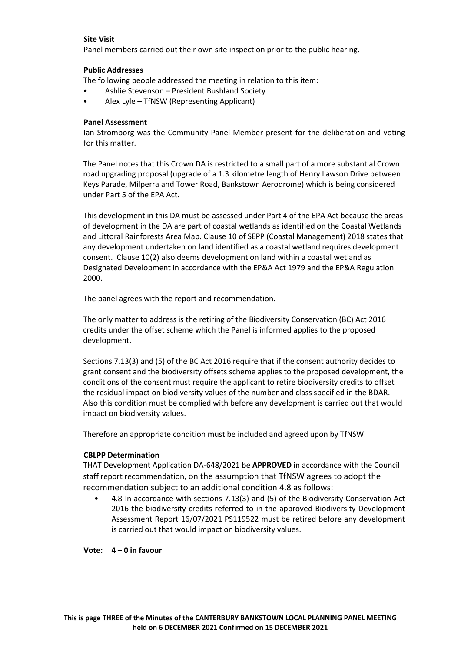# **Site Visit**

Panel members carried out their own site inspection prior to the public hearing.

# **Public Addresses**

The following people addressed the meeting in relation to this item:

- Ashlie Stevenson President Bushland Society
- Alex Lyle TfNSW (Representing Applicant)

# **Panel Assessment**

Ian Stromborg was the Community Panel Member present for the deliberation and voting for this matter.

The Panel notes that this Crown DA is restricted to a small part of a more substantial Crown road upgrading proposal (upgrade of a 1.3 kilometre length of Henry Lawson Drive between Keys Parade, Milperra and Tower Road, Bankstown Aerodrome) which is being considered under Part 5 of the EPA Act.

This development in this DA must be assessed under Part 4 of the EPA Act because the areas of development in the DA are part of coastal wetlands as identified on the Coastal Wetlands and Littoral Rainforests Area Map. Clause 10 of SEPP (Coastal Management) 2018 states that any development undertaken on land identified as a coastal wetland requires development consent. Clause 10(2) also deems development on land within a coastal wetland as Designated Development in accordance with the EP&A Act 1979 and the EP&A Regulation 2000.

The panel agrees with the report and recommendation.

The only matter to address is the retiring of the Biodiversity Conservation (BC) Act 2016 credits under the offset scheme which the Panel is informed applies to the proposed development.

Sections 7.13(3) and (5) of the BC Act 2016 require that if the consent authority decides to grant consent and the biodiversity offsets scheme applies to the proposed development, the conditions of the consent must require the applicant to retire biodiversity credits to offset the residual impact on biodiversity values of the number and class specified in the BDAR. Also this condition must be complied with before any development is carried out that would impact on biodiversity values.

Therefore an appropriate condition must be included and agreed upon by TfNSW.

# **CBLPP Determination**

THAT Development Application DA-648/2021 be **APPROVED** in accordance with the Council staff report recommendation, on the assumption that TfNSW agrees to adopt the recommendation subject to an additional condition 4.8 as follows:

• 4.8 In accordance with sections 7.13(3) and (5) of the Biodiversity Conservation Act 2016 the biodiversity credits referred to in the approved Biodiversity Development Assessment Report 16/07/2021 PS119522 must be retired before any development is carried out that would impact on biodiversity values.

**Vote: 4 – 0 in favour**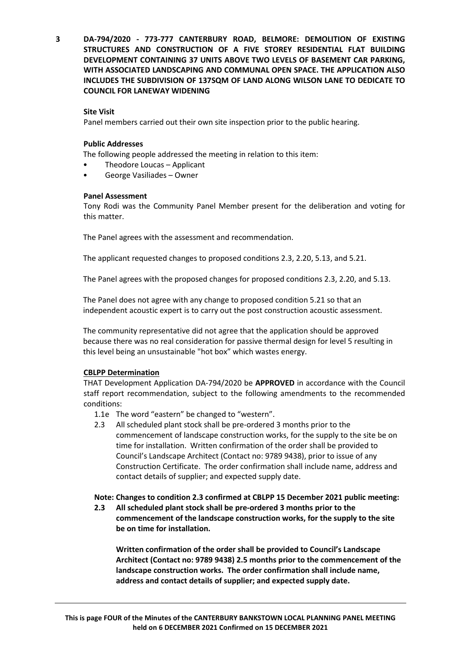**3 DA-794/2020 - 773-777 CANTERBURY ROAD, BELMORE: DEMOLITION OF EXISTING STRUCTURES AND CONSTRUCTION OF A FIVE STOREY RESIDENTIAL FLAT BUILDING DEVELOPMENT CONTAINING 37 UNITS ABOVE TWO LEVELS OF BASEMENT CAR PARKING, WITH ASSOCIATED LANDSCAPING AND COMMUNAL OPEN SPACE. THE APPLICATION ALSO INCLUDES THE SUBDIVISION OF 137SQM OF LAND ALONG WILSON LANE TO DEDICATE TO COUNCIL FOR LANEWAY WIDENING**

# **Site Visit**

Panel members carried out their own site inspection prior to the public hearing.

# **Public Addresses**

The following people addressed the meeting in relation to this item:

- Theodore Loucas Applicant
- George Vasiliades Owner

# **Panel Assessment**

Tony Rodi was the Community Panel Member present for the deliberation and voting for this matter.

The Panel agrees with the assessment and recommendation.

The applicant requested changes to proposed conditions 2.3, 2.20, 5.13, and 5.21.

The Panel agrees with the proposed changes for proposed conditions 2.3, 2.20, and 5.13.

The Panel does not agree with any change to proposed condition 5.21 so that an independent acoustic expert is to carry out the post construction acoustic assessment.

The community representative did not agree that the application should be approved because there was no real consideration for passive thermal design for level 5 resulting in this level being an unsustainable "hot box" which wastes energy.

## **CBLPP Determination**

THAT Development Application DA-794/2020 be **APPROVED** in accordance with the Council staff report recommendation, subject to the following amendments to the recommended conditions:

- 1.1e The word "eastern" be changed to "western".
- 2.3 All scheduled plant stock shall be pre-ordered 3 months prior to the commencement of landscape construction works, for the supply to the site be on time for installation. Written confirmation of the order shall be provided to Council's Landscape Architect (Contact no: 9789 9438), prior to issue of any Construction Certificate. The order confirmation shall include name, address and contact details of supplier; and expected supply date.

# **Note: Changes to condition 2.3 confirmed at CBLPP 15 December 2021 public meeting:**

**2.3 All scheduled plant stock shall be pre-ordered 3 months prior to the commencement of the landscape construction works, for the supply to the site be on time for installation.**

**Written confirmation of the order shall be provided to Council's Landscape Architect (Contact no: 9789 9438) 2.5 months prior to the commencement of the landscape construction works. The order confirmation shall include name, address and contact details of supplier; and expected supply date.**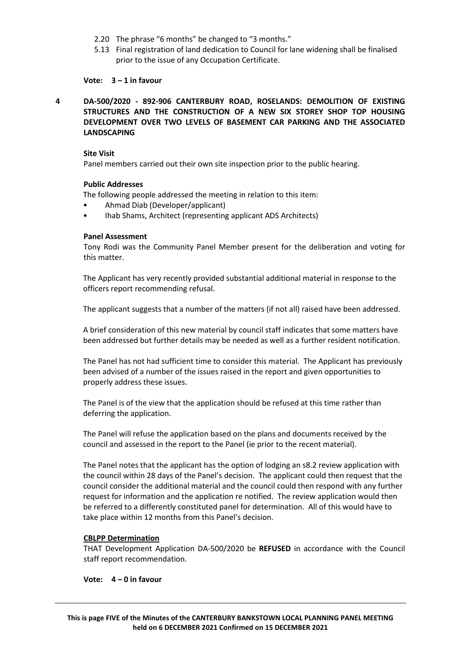- 2.20 The phrase "6 months" be changed to "3 months."
- 5.13 Final registration of land dedication to Council for lane widening shall be finalised prior to the issue of any Occupation Certificate.

**Vote: 3 – 1 in favour**

**4 DA-500/2020 - 892-906 CANTERBURY ROAD, ROSELANDS: DEMOLITION OF EXISTING STRUCTURES AND THE CONSTRUCTION OF A NEW SIX STOREY SHOP TOP HOUSING DEVELOPMENT OVER TWO LEVELS OF BASEMENT CAR PARKING AND THE ASSOCIATED LANDSCAPING**

### **Site Visit**

Panel members carried out their own site inspection prior to the public hearing.

## **Public Addresses**

The following people addressed the meeting in relation to this item:

- Ahmad Diab (Developer/applicant)
- Ihab Shams, Architect (representing applicant ADS Architects)

## **Panel Assessment**

Tony Rodi was the Community Panel Member present for the deliberation and voting for this matter.

The Applicant has very recently provided substantial additional material in response to the officers report recommending refusal.

The applicant suggests that a number of the matters (if not all) raised have been addressed.

A brief consideration of this new material by council staff indicates that some matters have been addressed but further details may be needed as well as a further resident notification.

The Panel has not had sufficient time to consider this material. The Applicant has previously been advised of a number of the issues raised in the report and given opportunities to properly address these issues.

The Panel is of the view that the application should be refused at this time rather than deferring the application.

The Panel will refuse the application based on the plans and documents received by the council and assessed in the report to the Panel (ie prior to the recent material).

The Panel notes that the applicant has the option of lodging an s8.2 review application with the council within 28 days of the Panel's decision. The applicant could then request that the council consider the additional material and the council could then respond with any further request for information and the application re notified. The review application would then be referred to a differently constituted panel for determination. All of this would have to take place within 12 months from this Panel's decision.

## **CBLPP Determination**

THAT Development Application DA-500/2020 be **REFUSED** in accordance with the Council staff report recommendation.

## **Vote: 4 – 0 in favour**